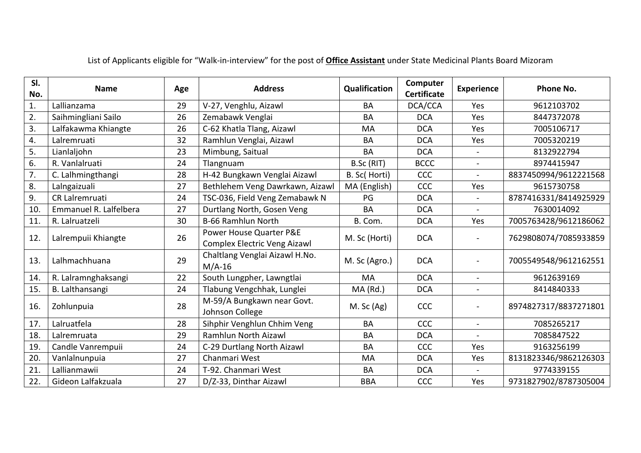| SI.<br>No. | <b>Name</b>            | Age | <b>Address</b>                                          | Qualification | Computer<br><b>Certificate</b> | <b>Experience</b> | Phone No.             |
|------------|------------------------|-----|---------------------------------------------------------|---------------|--------------------------------|-------------------|-----------------------|
| 1.         | Lallianzama            | 29  | V-27, Venghlu, Aizawl                                   | BA            | DCA/CCA                        | Yes               | 9612103702            |
| 2.         | Saihmingliani Sailo    | 26  | Zemabawk Venglai                                        | <b>BA</b>     | <b>DCA</b>                     | Yes               | 8447372078            |
| 3.         | Lalfakawma Khiangte    | 26  | C-62 Khatla Tlang, Aizawl                               | MA            | <b>DCA</b>                     | Yes               | 7005106717            |
| 4.         | Lalremruati            | 32  | Ramhlun Venglai, Aizawl                                 | <b>BA</b>     | <b>DCA</b>                     | Yes               | 7005320219            |
| 5.         | Lianlaljohn            | 23  | Mimbung, Saitual                                        | <b>BA</b>     | <b>DCA</b>                     |                   | 8132922794            |
| 6.         | R. Vanlalruati         | 24  | Tlangnuam                                               | B.Sc (RIT)    | <b>BCCC</b>                    |                   | 8974415947            |
| 7.         | C. Lalhmingthangi      | 28  | H-42 Bungkawn Venglai Aizawl                            | B. Sc( Horti) | CCC                            |                   | 8837450994/9612221568 |
| 8.         | Lalngaizuali           | 27  | Bethlehem Veng Dawrkawn, Aizawl                         | MA (English)  | <b>CCC</b>                     | Yes               | 9615730758            |
| 9.         | CR Lalremruati         | 24  | TSC-036, Field Veng Zemabawk N                          | PG            | <b>DCA</b>                     |                   | 8787416331/8414925929 |
| 10.        | Emmanuel R. Lalfelbera | 27  | Durtlang North, Gosen Veng                              | <b>BA</b>     | <b>DCA</b>                     |                   | 7630014092            |
| 11.        | R. Lalruatzeli         | 30  | <b>B-66 Ramhlun North</b>                               | B. Com.       | <b>DCA</b>                     | Yes               | 7005763428/9612186062 |
| 12.        | Lalrempuii Khiangte    | 26  | Power House Quarter P&E<br>Complex Electric Veng Aizawl | M. Sc (Horti) | <b>DCA</b>                     |                   | 7629808074/7085933859 |
| 13.        | Lalhmachhuana          | 29  | Chaltlang Venglai Aizawl H.No.<br>$M/A-16$              | M. Sc (Agro.) | <b>DCA</b>                     |                   | 7005549548/9612162551 |
| 14.        | R. Lalramnghaksangi    | 22  | South Lungpher, Lawngtlai                               | MA            | <b>DCA</b>                     | $\blacksquare$    | 9612639169            |
| 15.        | B. Lalthansangi        | 24  | Tlabung Vengchhak, Lunglei                              | MA (Rd.)      | <b>DCA</b>                     |                   | 8414840333            |
| 16.        | Zohlunpuia             | 28  | M-59/A Bungkawn near Govt.<br>Johnson College           | $M.$ Sc (Ag)  | <b>CCC</b>                     |                   | 8974827317/8837271801 |
| 17.        | Lalruatfela            | 28  | Sihphir Venghlun Chhim Veng                             | BA            | <b>CCC</b>                     | $\blacksquare$    | 7085265217            |
| 18.        | Lalremruata            | 29  | Ramhlun North Aizawl                                    | BA            | <b>DCA</b>                     |                   | 7085847522            |
| 19.        | Candle Vanrempuii      | 24  | C-29 Durtlang North Aizawl                              | <b>BA</b>     | <b>CCC</b>                     | Yes               | 9163256199            |
| 20.        | Vanlalnunpuia          | 27  | Chanmari West                                           | <b>MA</b>     | <b>DCA</b>                     | Yes               | 8131823346/9862126303 |
| 21.        | Lallianmawii           | 24  | T-92. Chanmari West                                     | BA            | <b>DCA</b>                     |                   | 9774339155            |
| 22.        | Gideon Lalfakzuala     | 27  | D/Z-33, Dinthar Aizawl                                  | <b>BBA</b>    | <b>CCC</b>                     | Yes               | 9731827902/8787305004 |

List of Applicants eligible for "Walk-in-interview" for the post of **Office Assistant** under State Medicinal Plants Board Mizoram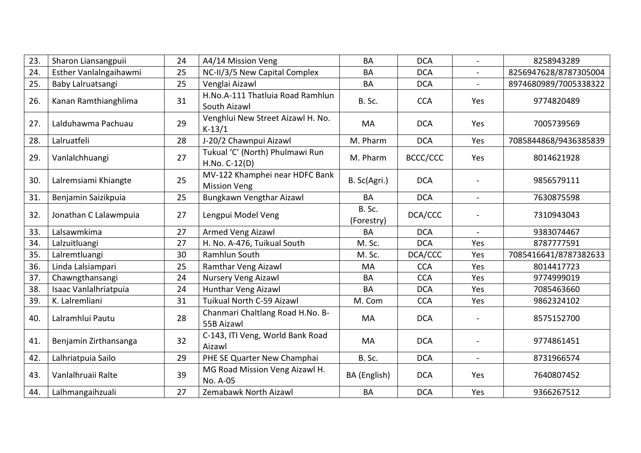| 23. | Sharon Liansangpuii    | 24 | A4/14 Mission Veng                                    | <b>BA</b>            | <b>DCA</b> | $\blacksquare$ | 8258943289            |
|-----|------------------------|----|-------------------------------------------------------|----------------------|------------|----------------|-----------------------|
| 24. | Esther Vanlalngaihawmi | 25 | NC-II/3/5 New Capital Complex                         | BA                   | <b>DCA</b> | $\blacksquare$ | 8256947628/8787305004 |
| 25. | Baby Lalruatsangi      | 25 | Venglai Aizawl                                        | BA                   | <b>DCA</b> |                | 8974680989/7005338322 |
| 26. | Kanan Ramthianghlima   | 31 | H.No.A-111 Thatluia Road Ramhlun<br>South Aizawl      | B. Sc.               | <b>CCA</b> | Yes            | 9774820489            |
| 27. | Lalduhawma Pachuau     | 29 | Venghlui New Street Aizawl H. No.<br>$K-13/1$         | MA                   | <b>DCA</b> | Yes            | 7005739569            |
| 28. | Lalruatfeli            | 28 | J-20/2 Chawnpui Aizawl                                | M. Pharm             | <b>DCA</b> | Yes            | 7085844868/9436385839 |
| 29. | Vanlalchhuangi         | 27 | Tukual 'C' (North) Phulmawi Run<br>H.No. C-12(D)      | M. Pharm             | BCCC/CCC   | Yes            | 8014621928            |
| 30. | Lalremsiami Khiangte   | 25 | MV-122 Khamphei near HDFC Bank<br><b>Mission Veng</b> | B. Sc(Agri.)         | <b>DCA</b> |                | 9856579111            |
| 31. | Benjamin Saizikpuia    | 25 | Bungkawn Vengthar Aizawl                              | <b>BA</b>            | <b>DCA</b> |                | 7630875598            |
| 32. | Jonathan C Lalawmpuia  | 27 | Lengpui Model Veng                                    | B. Sc.<br>(Forestry) | DCA/CCC    |                | 7310943043            |
| 33. | Lalsawmkima            | 27 | Armed Veng Aizawl                                     | <b>BA</b>            | <b>DCA</b> | $\overline{a}$ | 9383074467            |
| 34. | Lalzuitluangi          | 27 | H. No. A-476, Tuikual South                           | M. Sc.               | <b>DCA</b> | Yes            | 8787777591            |
| 35. | Lalremtluangi          | 30 | Ramhlun South                                         | M. Sc.               | DCA/CCC    | Yes            | 7085416641/8787382633 |
| 36. | Linda Lalsiampari      | 25 | <b>Ramthar Veng Aizawl</b>                            | MA                   | <b>CCA</b> | Yes            | 8014417723            |
| 37. | Chawngthansangi        | 24 | Nursery Veng Aizawl                                   | <b>BA</b>            | <b>CCA</b> | Yes            | 9774999019            |
| 38. | Isaac Vanlalhriatpuia  | 24 | <b>Hunthar Veng Aizawl</b>                            | <b>BA</b>            | <b>DCA</b> | Yes            | 7085463660            |
| 39. | K. Lalremliani         | 31 | Tuikual North C-59 Aizawl                             | M. Com               | <b>CCA</b> | Yes            | 9862324102            |
| 40. | Lalramhlui Pautu       | 28 | Chanmari Chaltlang Road H.No. B-<br>55B Aizawl        | MA                   | <b>DCA</b> |                | 8575152700            |
| 41. | Benjamin Zirthansanga  | 32 | C-143, ITI Veng, World Bank Road<br>Aizawl            | MA                   | <b>DCA</b> |                | 9774861451            |
| 42. | Lalhriatpuia Sailo     | 29 | PHE SE Quarter New Champhai                           | B. Sc.               | <b>DCA</b> |                | 8731966574            |
| 43. | Vanlalhruaii Ralte     | 39 | MG Road Mission Veng Aizawl H.<br>No. A-05            | BA (English)         | <b>DCA</b> | Yes            | 7640807452            |
| 44. | Lalhmangaihzuali       | 27 | Zemabawk North Aizawl                                 | BA                   | <b>DCA</b> | Yes            | 9366267512            |